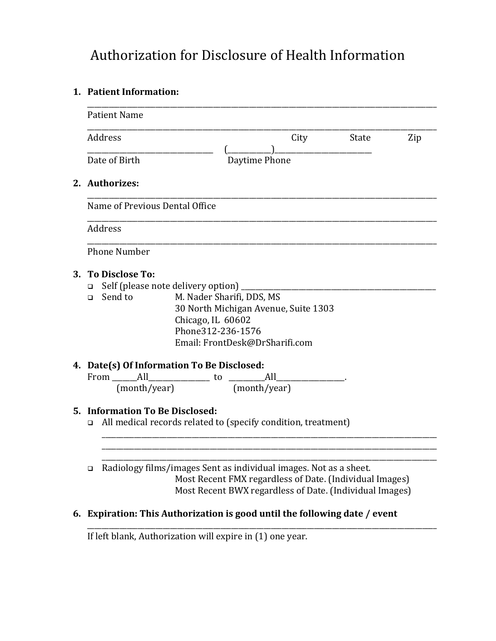# Authorization for Disclosure of Health Information

## **1. Patient Information:**

| <b>Patient Name</b>                                                                                                                                                                                                                      |      |       |     |
|------------------------------------------------------------------------------------------------------------------------------------------------------------------------------------------------------------------------------------------|------|-------|-----|
| Address                                                                                                                                                                                                                                  | City | State | Zip |
| Date of Birth<br>Daytime Phone                                                                                                                                                                                                           |      |       |     |
| 2. Authorizes:                                                                                                                                                                                                                           |      |       |     |
| Name of Previous Dental Office                                                                                                                                                                                                           |      |       |     |
| Address                                                                                                                                                                                                                                  |      |       |     |
| <b>Phone Number</b>                                                                                                                                                                                                                      |      |       |     |
| 3. To Disclose To:<br>Self (please note delivery option)<br>$\Box$<br>M. Nader Sharifi, DDS, MS<br>Send to<br>$\Box$<br>30 North Michigan Avenue, Suite 1303<br>Chicago, IL 60602<br>Phone312-236-1576<br>Email: FrontDesk@DrSharifi.com |      |       |     |
| 4. Date(s) Of Information To Be Disclosed:<br>From All<br>$\overline{\phantom{a}}$ All<br><u>to</u>                                                                                                                                      |      |       |     |
| (month/year)<br>(month/year)                                                                                                                                                                                                             |      |       |     |
| 5. Information To Be Disclosed:<br>All medical records related to (specify condition, treatment)<br>$\Box$                                                                                                                               |      |       |     |
| Radiology films/images Sent as individual images. Not as a sheet.<br>□<br>Most Recent FMX regardless of Date. (Individual Images)                                                                                                        |      |       |     |
| Most Recent BWX regardless of Date. (Individual Images)                                                                                                                                                                                  |      |       |     |

#### **6. Expiration: This Authorization is good until the following date / event**

\_\_\_\_\_\_\_\_\_\_\_\_\_\_\_\_\_\_\_\_\_\_\_\_\_\_\_\_\_\_\_\_\_\_\_\_\_\_\_\_\_\_\_\_\_\_\_\_\_\_\_\_\_\_\_\_\_\_\_\_\_\_\_\_\_\_\_\_\_\_\_\_\_\_\_\_\_\_\_\_\_\_\_\_\_\_\_\_\_\_\_\_\_\_\_\_\_

If left blank, Authorization will expire in (1) one year.